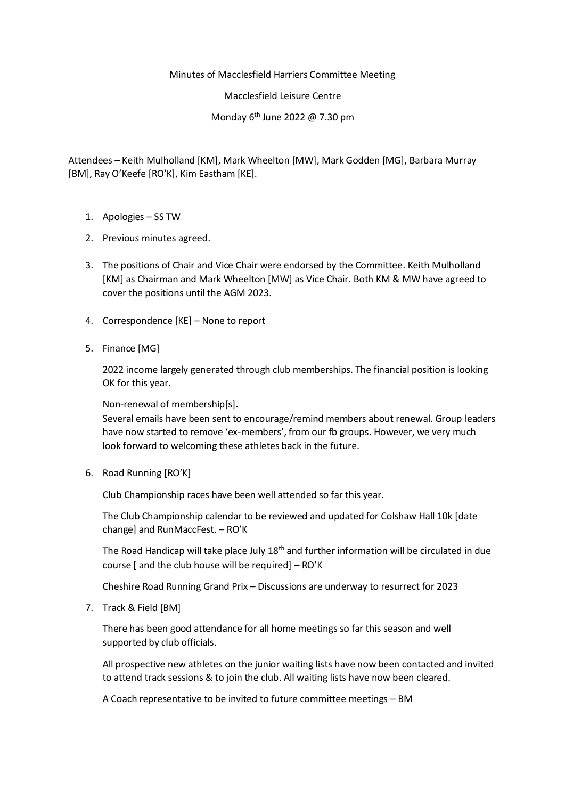## Minutes of Macclesfield Harriers Committee Meeting

Macclesfield Leisure Centre

Monday 6th June 2022 @ 7.30 pm

Attendees – Keith Mulholland [KM], Mark Wheelton [MW], Mark Godden [MG], Barbara Murray [BM], Ray O'Keefe [RO'K], Kim Eastham [KE].

- 1. Apologies SS TW
- 2. Previous minutes agreed.
- 3. The positions of Chair and Vice Chair were endorsed by the Committee. Keith Mulholland [KM] as Chairman and Mark Wheelton [MW] as Vice Chair. Both KM & MW have agreed to cover the positions until the AGM 2023.
- 4. Correspondence [KE] None to report
- 5. Finance [MG]

2022 income largely generated through club memberships. The financial position is looking OK for this year.

Non-renewal of membership[s].

Several emails have been sent to encourage/remind members about renewal. Group leaders have now started to remove 'ex-members', from our fb groups. However, we very much look forward to welcoming these athletes back in the future.

6. Road Running [RO'K]

Club Championship races have been well attended so far this year.

The Club Championship calendar to be reviewed and updated for Colshaw Hall 10k [date change] and RunMaccFest. – RO'K

The Road Handicap will take place July 18<sup>th</sup> and further information will be circulated in due course [ and the club house will be required] – RO'K

Cheshire Road Running Grand Prix – Discussions are underway to resurrect for 2023

7. Track & Field [BM]

There has been good attendance for all home meetings so far this season and well supported by club officials.

All prospective new athletes on the junior waiting lists have now been contacted and invited to attend track sessions & to join the club. All waiting lists have now been cleared.

A Coach representative to be invited to future committee meetings – BM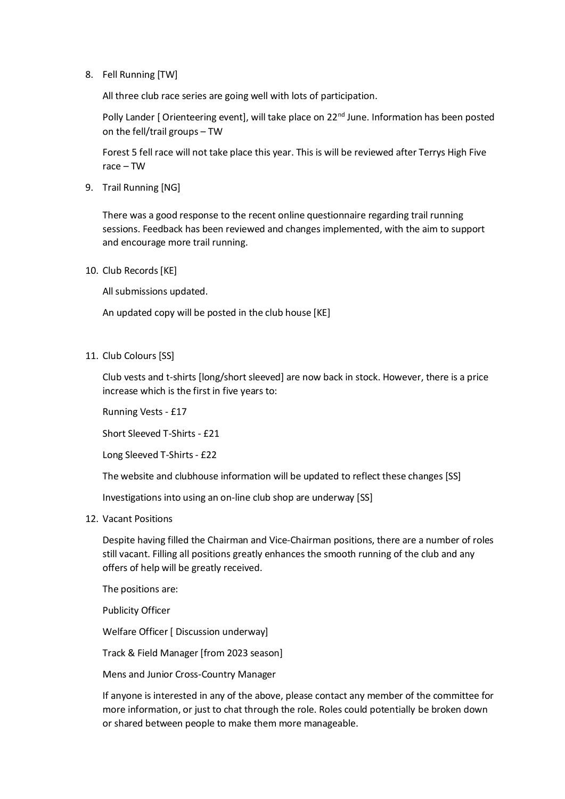8. Fell Running [TW]

All three club race series are going well with lots of participation.

Polly Lander [ Orienteering event], will take place on 22<sup>nd</sup> June. Information has been posted on the fell/trail groups – TW

Forest 5 fell race will not take place this year. This is will be reviewed after Terrys High Five race – TW

9. Trail Running [NG]

There was a good response to the recent online questionnaire regarding trail running sessions. Feedback has been reviewed and changes implemented, with the aim to support and encourage more trail running.

10. Club Records [KE]

All submissions updated.

An updated copy will be posted in the club house [KE]

11. Club Colours [SS]

Club vests and t-shirts [long/short sleeved] are now back in stock. However, there is a price increase which is the first in five years to:

Running Vests - £17

Short Sleeved T-Shirts - £21

Long Sleeved T-Shirts - £22

The website and clubhouse information will be updated to reflect these changes [SS]

Investigations into using an on-line club shop are underway [SS]

12. Vacant Positions

Despite having filled the Chairman and Vice-Chairman positions, there are a number of roles still vacant. Filling all positions greatly enhances the smooth running of the club and any offers of help will be greatly received.

The positions are:

Publicity Officer

Welfare Officer [ Discussion underway]

Track & Field Manager [from 2023 season]

Mens and Junior Cross-Country Manager

If anyone is interested in any of the above, please contact any member of the committee for more information, or just to chat through the role. Roles could potentially be broken down or shared between people to make them more manageable.